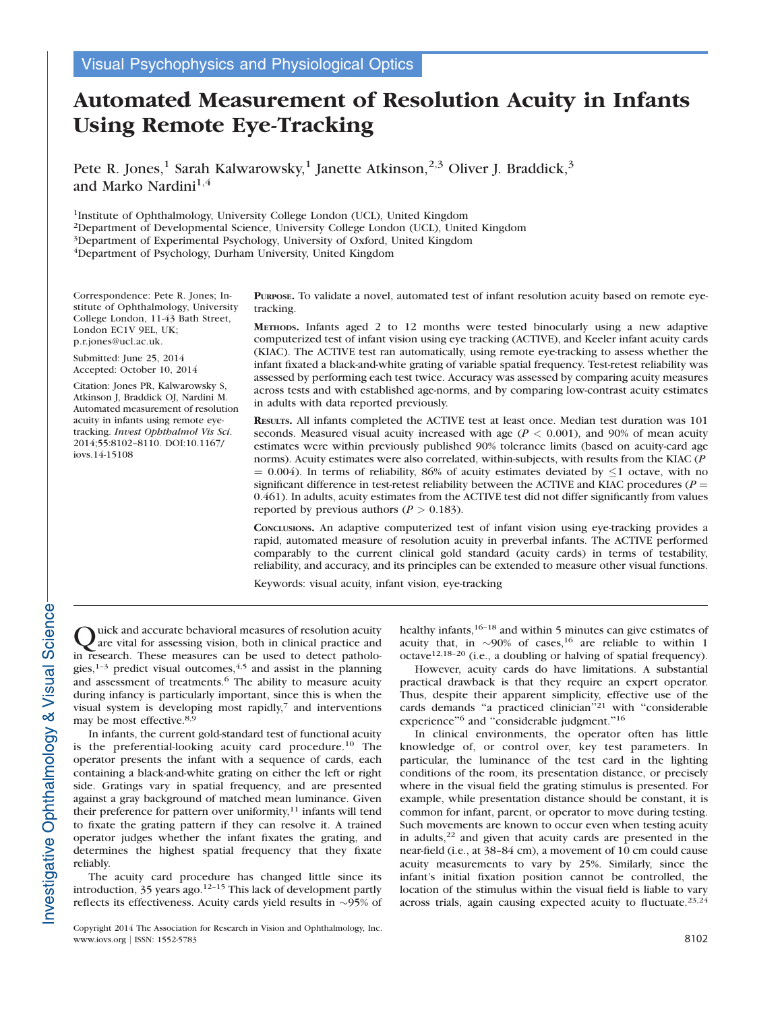Visual Psychophysics and Physiological Optics

# Automated Measurement of Resolution Acuity in Infants Using Remote Eye-Tracking

Pete R. Jones,<sup>1</sup> Sarah Kalwarowsky,<sup>1</sup> Janette Atkinson,<sup>2,3</sup> Oliver J. Braddick,<sup>3</sup> and Marko Nardini<sup>1,4</sup>

1Institute of Ophthalmology, University College London (UCL), United Kingdom 2Department of Developmental Science, University College London (UCL), United Kingdom 3Department of Experimental Psychology, University of Oxford, United Kingdom 4Department of Psychology, Durham University, United Kingdom

Correspondence: Pete R. Jones; Institute of Ophthalmology, University College London, 11-43 Bath Street, London EC1V 9EL, UK; p.r.jones@ucl.ac.uk.

Submitted: June 25, 2014 Accepted: October 10, 2014

Citation: Jones PR, Kalwarowsky S, Atkinson J, Braddick OJ, Nardini M. Automated measurement of resolution acuity in infants using remote eyetracking. Invest Ophthalmol Vis Sci. 2014;55:8102–8110. DOI:10.1167/ iovs.14-15108

PURPOSE. To validate a novel, automated test of infant resolution acuity based on remote eyetracking.

METHODS. Infants aged 2 to 12 months were tested binocularly using a new adaptive computerized test of infant vision using eye tracking (ACTIVE), and Keeler infant acuity cards (KIAC). The ACTIVE test ran automatically, using remote eye-tracking to assess whether the infant fixated a black-and-white grating of variable spatial frequency. Test-retest reliability was assessed by performing each test twice. Accuracy was assessed by comparing acuity measures across tests and with established age-norms, and by comparing low-contrast acuity estimates in adults with data reported previously.

RESULTS. All infants completed the ACTIVE test at least once. Median test duration was 101 seconds. Measured visual acuity increased with age  $(P < 0.001)$ , and 90% of mean acuity estimates were within previously published 90% tolerance limits (based on acuity-card age norms). Acuity estimates were also correlated, within-subjects, with results from the KIAC (P  $= 0.004$ ). In terms of reliability, 86% of acuity estimates deviated by  $\leq 1$  octave, with no significant difference in test-retest reliability between the ACTIVE and KIAC procedures ( $P =$ 0.461). In adults, acuity estimates from the ACTIVE test did not differ significantly from values reported by previous authors ( $P > 0.183$ ).

CONCLUSIONS. An adaptive computerized test of infant vision using eye-tracking provides a rapid, automated measure of resolution acuity in preverbal infants. The ACTIVE performed comparably to the current clinical gold standard (acuity cards) in terms of testability, reliability, and accuracy, and its principles can be extended to measure other visual functions.

Keywords: visual acuity, infant vision, eye-tracking

Quick and accurate behavioral measures of resolution acuity<br>are vital for assessing vision, both in clinical practice and in research. These measures can be used to detect pathologies, $1-3$  predict visual outcomes, $4,5$  and assist in the planning and assessment of treatments.<sup>6</sup> The ability to measure acuity during infancy is particularly important, since this is when the visual system is developing most rapidly,<sup>7</sup> and interventions may be most effective.<sup>8,9</sup>

In infants, the current gold-standard test of functional acuity is the preferential-looking acuity card procedure.<sup>10</sup> The operator presents the infant with a sequence of cards, each containing a black-and-white grating on either the left or right side. Gratings vary in spatial frequency, and are presented against a gray background of matched mean luminance. Given their preference for pattern over uniformity, $11$  infants will tend to fixate the grating pattern if they can resolve it. A trained operator judges whether the infant fixates the grating, and determines the highest spatial frequency that they fixate reliably.

The acuity card procedure has changed little since its introduction,  $35$  years ago.<sup>12-15</sup> This lack of development partly reflects its effectiveness. Acuity cards yield results in  $\sim$ 95% of

Copyright 2014 The Association for Research in Vision and Ophthalmology, Inc. www.iovs.org | ISSN: 1552-5783 8102

healthy infants, $16-18$  and within 5 minutes can give estimates of acuity that, in  $\sim$ 90% of cases,<sup>16</sup> are reliable to within 1 octave12,18–20 (i.e., a doubling or halving of spatial frequency).

However, acuity cards do have limitations. A substantial practical drawback is that they require an expert operator. Thus, despite their apparent simplicity, effective use of the cards demands ''a practiced clinician''<sup>21</sup> with ''considerable experience"<sup>6</sup> and "considerable judgment."<sup>16</sup>

In clinical environments, the operator often has little knowledge of, or control over, key test parameters. In particular, the luminance of the test card in the lighting conditions of the room, its presentation distance, or precisely where in the visual field the grating stimulus is presented. For example, while presentation distance should be constant, it is common for infant, parent, or operator to move during testing. Such movements are known to occur even when testing acuity in adults, $22$  and given that acuity cards are presented in the near-field (i.e., at 38–84 cm), a movement of 10 cm could cause acuity measurements to vary by 25%. Similarly, since the infant's initial fixation position cannot be controlled, the location of the stimulus within the visual field is liable to vary across trials, again causing expected acuity to fluctuate. $23,24$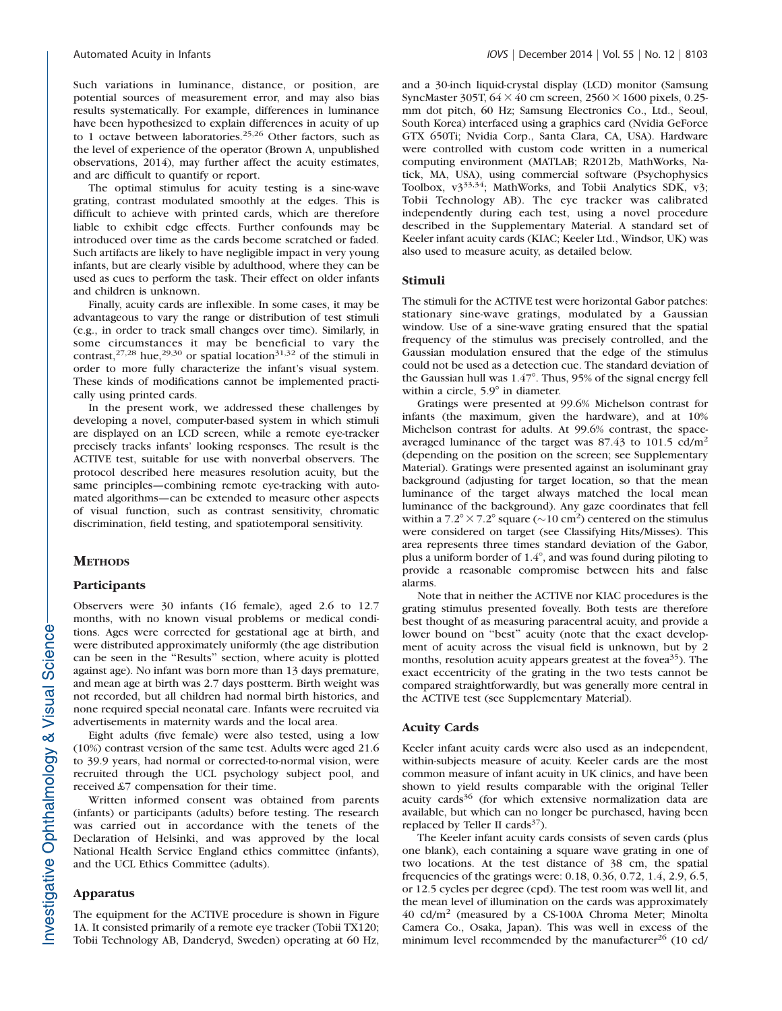Such variations in luminance, distance, or position, are potential sources of measurement error, and may also bias results systematically. For example, differences in luminance have been hypothesized to explain differences in acuity of up to 1 octave between laboratories.<sup>25,26</sup> Other factors, such as the level of experience of the operator (Brown A, unpublished observations, 2014), may further affect the acuity estimates, and are difficult to quantify or report.

The optimal stimulus for acuity testing is a sine-wave grating, contrast modulated smoothly at the edges. This is difficult to achieve with printed cards, which are therefore liable to exhibit edge effects. Further confounds may be introduced over time as the cards become scratched or faded. Such artifacts are likely to have negligible impact in very young infants, but are clearly visible by adulthood, where they can be used as cues to perform the task. Their effect on older infants and children is unknown.

Finally, acuity cards are inflexible. In some cases, it may be advantageous to vary the range or distribution of test stimuli (e.g., in order to track small changes over time). Similarly, in some circumstances it may be beneficial to vary the contrast,<sup>27,28</sup> hue,<sup>29,30</sup> or spatial location<sup>31,32</sup> of the stimuli in order to more fully characterize the infant's visual system. These kinds of modifications cannot be implemented practically using printed cards.

In the present work, we addressed these challenges by developing a novel, computer-based system in which stimuli are displayed on an LCD screen, while a remote eye-tracker precisely tracks infants' looking responses. The result is the ACTIVE test, suitable for use with nonverbal observers. The protocol described here measures resolution acuity, but the same principles—combining remote eye-tracking with automated algorithms—can be extended to measure other aspects of visual function, such as contrast sensitivity, chromatic discrimination, field testing, and spatiotemporal sensitivity.

# **METHODS**

#### **Participants**

Observers were 30 infants (16 female), aged 2.6 to 12.7 months, with no known visual problems or medical conditions. Ages were corrected for gestational age at birth, and were distributed approximately uniformly (the age distribution can be seen in the ''Results'' section, where acuity is plotted against age). No infant was born more than 13 days premature, and mean age at birth was 2.7 days postterm. Birth weight was not recorded, but all children had normal birth histories, and none required special neonatal care. Infants were recruited via advertisements in maternity wards and the local area.

Eight adults (five female) were also tested, using a low (10%) contrast version of the same test. Adults were aged 21.6 to 39.9 years, had normal or corrected-to-normal vision, were recruited through the UCL psychology subject pool, and received £7 compensation for their time.

Written informed consent was obtained from parents (infants) or participants (adults) before testing. The research was carried out in accordance with the tenets of the Declaration of Helsinki, and was approved by the local National Health Service England ethics committee (infants), and the UCL Ethics Committee (adults).

#### Apparatus

The equipment for the ACTIVE procedure is shown in Figure 1A. It consisted primarily of a remote eye tracker (Tobii TX120; Tobii Technology AB, Danderyd, Sweden) operating at 60 Hz, and a 30-inch liquid-crystal display (LCD) monitor (Samsung SyncMaster 305T,  $64 \times 40$  cm screen,  $2560 \times 1600$  pixels, 0.25mm dot pitch, 60 Hz; Samsung Electronics Co., Ltd., Seoul, South Korea) interfaced using a graphics card (Nvidia GeForce GTX 650Ti; Nvidia Corp., Santa Clara, CA, USA). Hardware were controlled with custom code written in a numerical computing environment (MATLAB; R2012b, MathWorks, Natick, MA, USA), using commercial software (Psychophysics Toolbox, v333,34; MathWorks, and Tobii Analytics SDK, v3; Tobii Technology AB). The eye tracker was calibrated independently during each test, using a novel procedure described in the Supplementary Material. A standard set of Keeler infant acuity cards (KIAC; Keeler Ltd., Windsor, UK) was also used to measure acuity, as detailed below.

# Stimuli

The stimuli for the ACTIVE test were horizontal Gabor patches: stationary sine-wave gratings, modulated by a Gaussian window. Use of a sine-wave grating ensured that the spatial frequency of the stimulus was precisely controlled, and the Gaussian modulation ensured that the edge of the stimulus could not be used as a detection cue. The standard deviation of the Gaussian hull was  $1.47^\circ.$  Thus, 95% of the signal energy fell within a circle,  $5.9^\circ$  in diameter.

Gratings were presented at 99.6% Michelson contrast for infants (the maximum, given the hardware), and at 10% Michelson contrast for adults. At 99.6% contrast, the spaceaveraged luminance of the target was 87.43 to 101.5 cd/m<sup>2</sup> (depending on the position on the screen; see Supplementary Material). Gratings were presented against an isoluminant gray background (adjusting for target location, so that the mean luminance of the target always matched the local mean luminance of the background). Any gaze coordinates that fell within a  $7.2^{\circ} \times 7.2^{\circ}$  square ( $\sim$ 10 cm<sup>2</sup>) centered on the stimulus were considered on target (see Classifying Hits/Misses). This area represents three times standard deviation of the Gabor, plus a uniform border of 1.4°, and was found during piloting to provide a reasonable compromise between hits and false alarms.

Note that in neither the ACTIVE nor KIAC procedures is the grating stimulus presented foveally. Both tests are therefore best thought of as measuring paracentral acuity, and provide a lower bound on "best" acuity (note that the exact development of acuity across the visual field is unknown, but by 2 months, resolution acuity appears greatest at the fove $a^{35}$ ). The exact eccentricity of the grating in the two tests cannot be compared straightforwardly, but was generally more central in the ACTIVE test (see Supplementary Material).

#### Acuity Cards

Keeler infant acuity cards were also used as an independent, within-subjects measure of acuity. Keeler cards are the most common measure of infant acuity in UK clinics, and have been shown to yield results comparable with the original Teller acuity cards<sup>36</sup> (for which extensive normalization data are available, but which can no longer be purchased, having been replaced by Teller II cards $37$ ).

The Keeler infant acuity cards consists of seven cards (plus one blank), each containing a square wave grating in one of two locations. At the test distance of 38 cm, the spatial frequencies of the gratings were: 0.18, 0.36, 0.72, 1.4, 2.9, 6.5, or 12.5 cycles per degree (cpd). The test room was well lit, and the mean level of illumination on the cards was approximately 40 cd/m<sup>2</sup> (measured by a CS-100A Chroma Meter; Minolta Camera Co., Osaka, Japan). This was well in excess of the minimum level recommended by the manufacturer $^{26}$  (10 cd/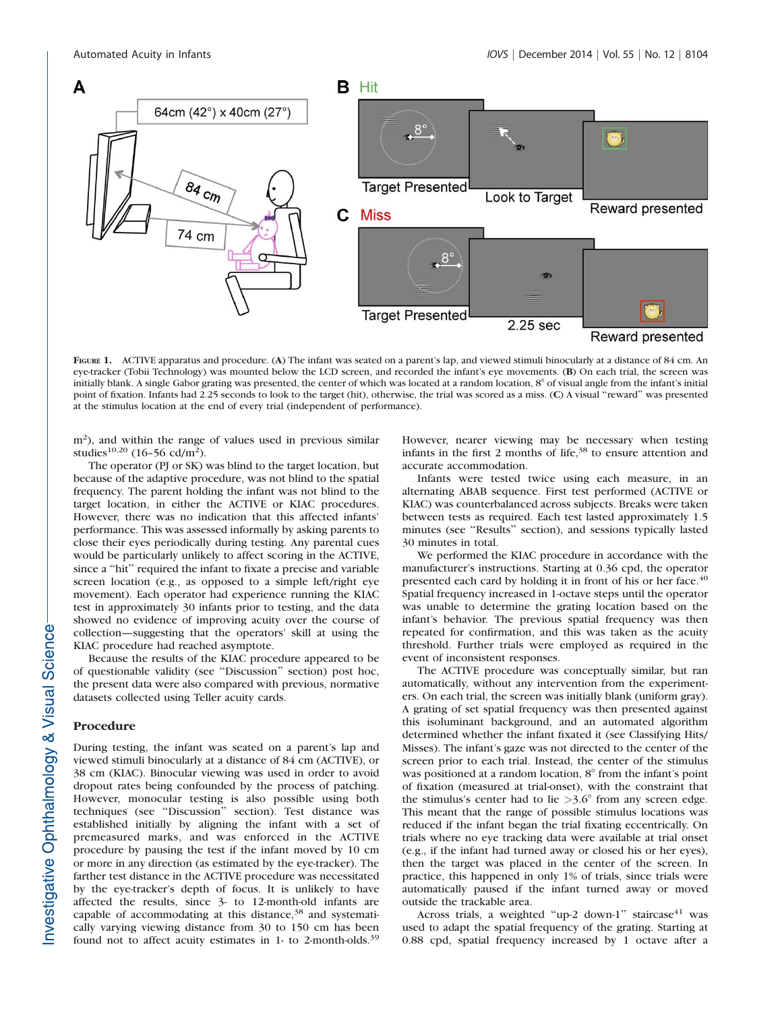

FIGURE 1. ACTIVE apparatus and procedure. (A) The infant was seated on a parent's lap, and viewed stimuli binocularly at a distance of 84 cm. An eye-tracker (Tobii Technology) was mounted below the LCD screen, and recorded the infant's eye movements. (B) On each trial, the screen was initially blank. A single Gabor grating was presented, the center of which was located at a random location, 8° of visual angle from the infant's initial point of fixation. Infants had 2.25 seconds to look to the target (hit), otherwise, the trial was scored as a miss. (C) A visual ''reward'' was presented at the stimulus location at the end of every trial (independent of performance).

m<sup>2</sup>), and within the range of values used in previous similar studies<sup>10,20</sup> (16-56 cd/m<sup>2</sup>).

The operator (PJ or SK) was blind to the target location, but because of the adaptive procedure, was not blind to the spatial frequency. The parent holding the infant was not blind to the target location, in either the ACTIVE or KIAC procedures. However, there was no indication that this affected infants' performance. This was assessed informally by asking parents to close their eyes periodically during testing. Any parental cues would be particularly unlikely to affect scoring in the ACTIVE, since a ''hit'' required the infant to fixate a precise and variable screen location (e.g., as opposed to a simple left/right eye movement). Each operator had experience running the KIAC test in approximately 30 infants prior to testing, and the data showed no evidence of improving acuity over the course of collection—suggesting that the operators' skill at using the KIAC procedure had reached asymptote.

Because the results of the KIAC procedure appeared to be of questionable validity (see ''Discussion'' section) post hoc, the present data were also compared with previous, normative datasets collected using Teller acuity cards.

#### Procedure

During testing, the infant was seated on a parent's lap and viewed stimuli binocularly at a distance of 84 cm (ACTIVE), or 38 cm (KIAC). Binocular viewing was used in order to avoid dropout rates being confounded by the process of patching. However, monocular testing is also possible using both techniques (see ''Discussion'' section). Test distance was established initially by aligning the infant with a set of premeasured marks, and was enforced in the ACTIVE procedure by pausing the test if the infant moved by 10 cm or more in any direction (as estimated by the eye-tracker). The farther test distance in the ACTIVE procedure was necessitated by the eye-tracker's depth of focus. It is unlikely to have affected the results, since 3- to 12-month-old infants are capable of accommodating at this distance,<sup>38</sup> and systematically varying viewing distance from 30 to 150 cm has been found not to affect acuity estimates in 1- to 2-month-olds.<sup>39</sup>

However, nearer viewing may be necessary when testing infants in the first 2 months of life,<sup>38</sup> to ensure attention and accurate accommodation.

Infants were tested twice using each measure, in an alternating ABAB sequence. First test performed (ACTIVE or KIAC) was counterbalanced across subjects. Breaks were taken between tests as required. Each test lasted approximately 1.5 minutes (see ''Results'' section), and sessions typically lasted 30 minutes in total.

We performed the KIAC procedure in accordance with the manufacturer's instructions. Starting at 0.36 cpd, the operator presented each card by holding it in front of his or her face.<sup>40</sup> Spatial frequency increased in 1-octave steps until the operator was unable to determine the grating location based on the infant's behavior. The previous spatial frequency was then repeated for confirmation, and this was taken as the acuity threshold. Further trials were employed as required in the event of inconsistent responses.

The ACTIVE procedure was conceptually similar, but ran automatically, without any intervention from the experimenters. On each trial, the screen was initially blank (uniform gray). A grating of set spatial frequency was then presented against this isoluminant background, and an automated algorithm determined whether the infant fixated it (see Classifying Hits/ Misses). The infant's gaze was not directed to the center of the screen prior to each trial. Instead, the center of the stimulus was positioned at a random location,  $8^\circ$  from the infant's point of fixation (measured at trial-onset), with the constraint that the stimulus's center had to lie  $>3.6^{\circ}$  from any screen edge. This meant that the range of possible stimulus locations was reduced if the infant began the trial fixating eccentrically. On trials where no eye tracking data were available at trial onset (e.g., if the infant had turned away or closed his or her eyes), then the target was placed in the center of the screen. In practice, this happened in only 1% of trials, since trials were automatically paused if the infant turned away or moved outside the trackable area.

Across trials, a weighted "up-2 down-1" staircase<sup>41</sup> was used to adapt the spatial frequency of the grating. Starting at 0.88 cpd, spatial frequency increased by 1 octave after a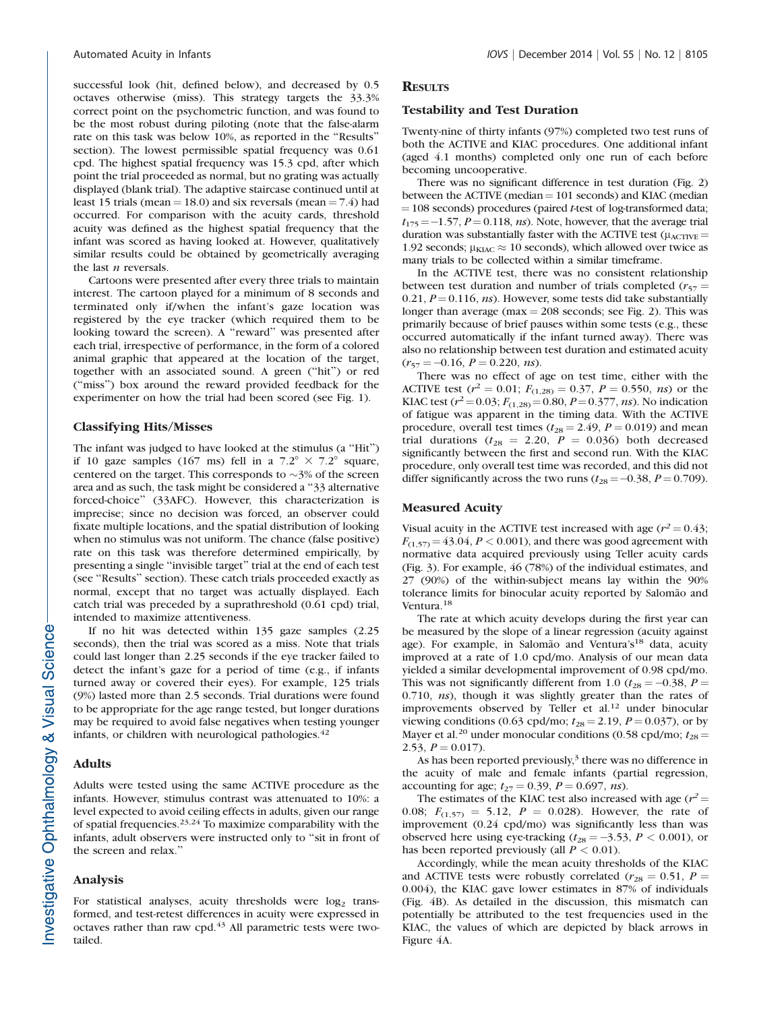successful look (hit, defined below), and decreased by 0.5 octaves otherwise (miss). This strategy targets the 33.3% correct point on the psychometric function, and was found to be the most robust during piloting (note that the false-alarm rate on this task was below 10%, as reported in the ''Results'' section). The lowest permissible spatial frequency was 0.61 cpd. The highest spatial frequency was 15.3 cpd, after which point the trial proceeded as normal, but no grating was actually displayed (blank trial). The adaptive staircase continued until at least 15 trials (mean  $= 18.0$ ) and six reversals (mean  $= 7.4$ ) had occurred. For comparison with the acuity cards, threshold acuity was defined as the highest spatial frequency that the infant was scored as having looked at. However, qualitatively similar results could be obtained by geometrically averaging the last  $n$  reversals.

Cartoons were presented after every three trials to maintain interest. The cartoon played for a minimum of 8 seconds and terminated only if/when the infant's gaze location was registered by the eye tracker (which required them to be looking toward the screen). A ''reward'' was presented after each trial, irrespective of performance, in the form of a colored animal graphic that appeared at the location of the target, together with an associated sound. A green (''hit'') or red (''miss'') box around the reward provided feedback for the experimenter on how the trial had been scored (see Fig. 1).

# Classifying Hits/Misses

The infant was judged to have looked at the stimulus (a ''Hit'') if 10 gaze samples (167 ms) fell in a  $7.2^{\circ} \times 7.2^{\circ}$  square, centered on the target. This corresponds to  $\sim$ 3% of the screen area and as such, the task might be considered a ''33 alternative forced-choice'' (33AFC). However, this characterization is imprecise; since no decision was forced, an observer could fixate multiple locations, and the spatial distribution of looking when no stimulus was not uniform. The chance (false positive) rate on this task was therefore determined empirically, by presenting a single ''invisible target'' trial at the end of each test (see ''Results'' section). These catch trials proceeded exactly as normal, except that no target was actually displayed. Each catch trial was preceded by a suprathreshold (0.61 cpd) trial, intended to maximize attentiveness.

If no hit was detected within 135 gaze samples (2.25 seconds), then the trial was scored as a miss. Note that trials could last longer than 2.25 seconds if the eye tracker failed to detect the infant's gaze for a period of time (e.g., if infants turned away or covered their eyes). For example, 125 trials (9%) lasted more than 2.5 seconds. Trial durations were found to be appropriate for the age range tested, but longer durations may be required to avoid false negatives when testing younger infants, or children with neurological pathologies. $42$ 

# Adults

Adults were tested using the same ACTIVE procedure as the infants. However, stimulus contrast was attenuated to 10%: a level expected to avoid ceiling effects in adults, given our range of spatial frequencies.23,24 To maximize comparability with the infants, adult observers were instructed only to ''sit in front of the screen and relax.''

# Analysis

For statistical analyses, acuity thresholds were  $log<sub>2</sub>$  transformed, and test-retest differences in acuity were expressed in octaves rather than raw cpd.<sup>43</sup> All parametric tests were twotailed.

# **RESULTS**

#### Testability and Test Duration

Twenty-nine of thirty infants (97%) completed two test runs of both the ACTIVE and KIAC procedures. One additional infant (aged 4.1 months) completed only one run of each before becoming uncooperative.

There was no significant difference in test duration (Fig. 2) between the ACTIVE (median  $= 101$  seconds) and KIAC (median  $=$  108 seconds) procedures (paired t-test of log-transformed data;  $t_{175} = -1.57$ ,  $P = 0.118$ , ns). Note, however, that the average trial duration was substantially faster with the ACTIVE test ( $\mu_{\text{ACTIVE}} =$ 1.92 seconds;  $\mu_{\text{KIAC}} \approx 10$  seconds), which allowed over twice as many trials to be collected within a similar timeframe.

In the ACTIVE test, there was no consistent relationship between test duration and number of trials completed ( $r_{57}$  = 0.21,  $P = 0.116$ , ns). However, some tests did take substantially longer than average (max  $=$  208 seconds; see Fig. 2). This was primarily because of brief pauses within some tests (e.g., these occurred automatically if the infant turned away). There was also no relationship between test duration and estimated acuity  $(r_{57} = -0.16, P = 0.220, ns).$ 

There was no effect of age on test time, either with the ACTIVE test ( $r^2 = 0.01$ ;  $F_{(1,28)} = 0.37$ ,  $P = 0.550$ , ns) or the KIAC test ( $r^2$  = 0.03;  $F_{(1,28)}$  = 0.80,  $P$  = 0.377, ns). No indication of fatigue was apparent in the timing data. With the ACTIVE procedure, overall test times ( $t_{28} = 2.49$ ,  $P = 0.019$ ) and mean trial durations ( $t_{28}$  = 2.20,  $P = 0.036$ ) both decreased significantly between the first and second run. With the KIAC procedure, only overall test time was recorded, and this did not differ significantly across the two runs ( $t_{28} = -0.38$ ,  $P = 0.709$ ).

### Measured Acuity

Visual acuity in the ACTIVE test increased with age ( $r^2 = 0.43$ ;  $F_{(1,57)} = 43.04, P < 0.001$ , and there was good agreement with normative data acquired previously using Teller acuity cards (Fig. 3). For example, 46 (78%) of the individual estimates, and 27 (90%) of the within-subject means lay within the 90% tolerance limits for binocular acuity reported by Salomão and Ventura.<sup>18</sup>

The rate at which acuity develops during the first year can be measured by the slope of a linear regression (acuity against age). For example, in Salomão and Ventura's<sup>18</sup> data, acuity improved at a rate of 1.0 cpd/mo. Analysis of our mean data yielded a similar developmental improvement of 0.98 cpd/mo. This was not significantly different from 1.0 ( $t_{28} = -0.38$ ,  $P =$ 0.710, ns), though it was slightly greater than the rates of improvements observed by Teller et al.<sup>12</sup> under binocular viewing conditions (0.63 cpd/mo;  $t_{28} = 2.19$ ,  $P = 0.037$ ), or by Mayer et al.<sup>20</sup> under monocular conditions (0.58 cpd/mo;  $t_{28}$  = 2.53,  $P = 0.017$ ).

As has been reported previously,<sup>3</sup> there was no difference in the acuity of male and female infants (partial regression, accounting for age;  $t_{27} = 0.39$ ,  $P = 0.697$ , ns).

The estimates of the KIAC test also increased with age  $(r^2 =$ 0.08;  $F_{(1,57)} = 5.12$ ,  $P = 0.028$ ). However, the rate of improvement (0.24 cpd/mo) was significantly less than was observed here using eye-tracking ( $t_{28} = -3.53$ ,  $P < 0.001$ ), or has been reported previously (all  $P < 0.01$ ).

Accordingly, while the mean acuity thresholds of the KIAC and ACTIVE tests were robustly correlated ( $r_{28} = 0.51$ ,  $P =$ 0.004), the KIAC gave lower estimates in 87% of individuals (Fig. 4B). As detailed in the discussion, this mismatch can potentially be attributed to the test frequencies used in the KIAC, the values of which are depicted by black arrows in Figure 4A.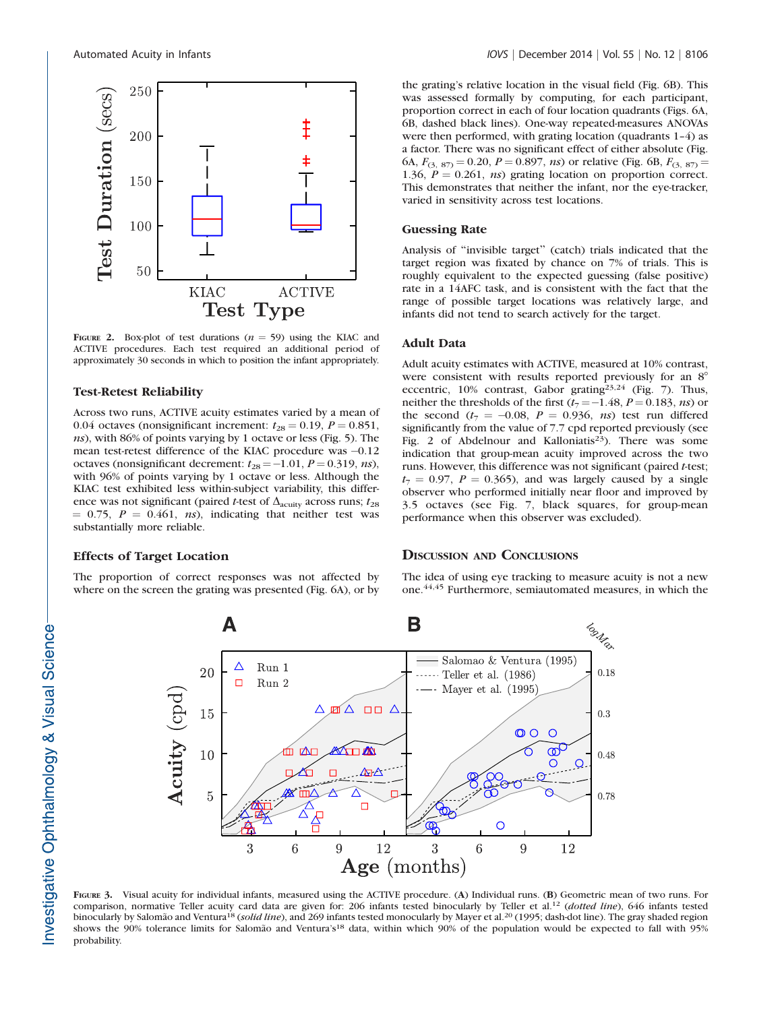

FIGURE 2. Box-plot of test durations ( $n = 59$ ) using the KIAC and ACTIVE procedures. Each test required an additional period of approximately 30 seconds in which to position the infant appropriately.

# Test-Retest Reliability

Across two runs, ACTIVE acuity estimates varied by a mean of 0.04 octaves (nonsignificant increment:  $t_{28} = 0.19$ ,  $P = 0.851$ , ns), with 86% of points varying by 1 octave or less (Fig. 5). The mean test-retest difference of the KIAC procedure was  $-0.12$ octaves (nonsignificant decrement:  $t_{28} = -1.01$ ,  $P = 0.319$ , ns), with 96% of points varying by 1 octave or less. Although the KIAC test exhibited less within-subject variability, this difference was not significant (paired t-test of  $\Delta_{\text{acuity}}$  across runs;  $t_{28}$  $= 0.75$ ,  $P = 0.461$ , ns), indicating that neither test was substantially more reliable.

# Effects of Target Location

The proportion of correct responses was not affected by where on the screen the grating was presented (Fig. 6A), or by the grating's relative location in the visual field (Fig. 6B). This was assessed formally by computing, for each participant, proportion correct in each of four location quadrants (Figs. 6A, 6B, dashed black lines). One-way repeated-measures ANOVAs were then performed, with grating location (quadrants 1–4) as a factor. There was no significant effect of either absolute (Fig. 6A,  $F_{(3, 87)} = 0.20$ ,  $P = 0.897$ , ns) or relative (Fig. 6B,  $F_{(3, 87)} =$ 1.36,  $P = 0.261$ , ns) grating location on proportion correct. This demonstrates that neither the infant, nor the eye-tracker, varied in sensitivity across test locations.

# Guessing Rate

Analysis of ''invisible target'' (catch) trials indicated that the target region was fixated by chance on 7% of trials. This is roughly equivalent to the expected guessing (false positive) rate in a 14AFC task, and is consistent with the fact that the range of possible target locations was relatively large, and infants did not tend to search actively for the target.

# Adult Data

Adult acuity estimates with ACTIVE, measured at 10% contrast, were consistent with results reported previously for an  $8^\circ$ eccentric,  $10\%$  contrast, Gabor grating<sup>23,24</sup> (Fig. 7). Thus, neither the thresholds of the first  $(t_7 = -1.48, P = 0.183, ns)$  or the second  $(t_7 = -0.08, P = 0.936, ns)$  test run differed significantly from the value of 7.7 cpd reported previously (see Fig. 2 of Abdelnour and Kalloniatis<sup>23</sup>). There was some indication that group-mean acuity improved across the two runs. However, this difference was not significant (paired t-test;  $t_7 = 0.97$ ,  $P = 0.365$ ), and was largely caused by a single observer who performed initially near floor and improved by 3.5 octaves (see Fig. 7, black squares, for group-mean performance when this observer was excluded).

# DISCUSSION AND CONCLUSIONS

The idea of using eye tracking to measure acuity is not a new one.<sup>44,45</sup> Furthermore, semiautomated measures, in which the



FIGURE 3. Visual acuity for individual infants, measured using the ACTIVE procedure. (A) Individual runs. (B) Geometric mean of two runs. For comparison, normative Teller acuity card data are given for: 206 infants tested binocularly by Teller et al.<sup>12</sup> (dotted line), 646 infants tested binocularly by Salomão and Ventura<sup>18</sup> (solid line), and 269 infants tested monocularly by Mayer et al.<sup>20</sup> (1995; dash-dot line). The gray shaded region shows the 90% tolerance limits for Salomão and Ventura's<sup>18</sup> data, within which 90% of the population would be expected to fall with 95% probability.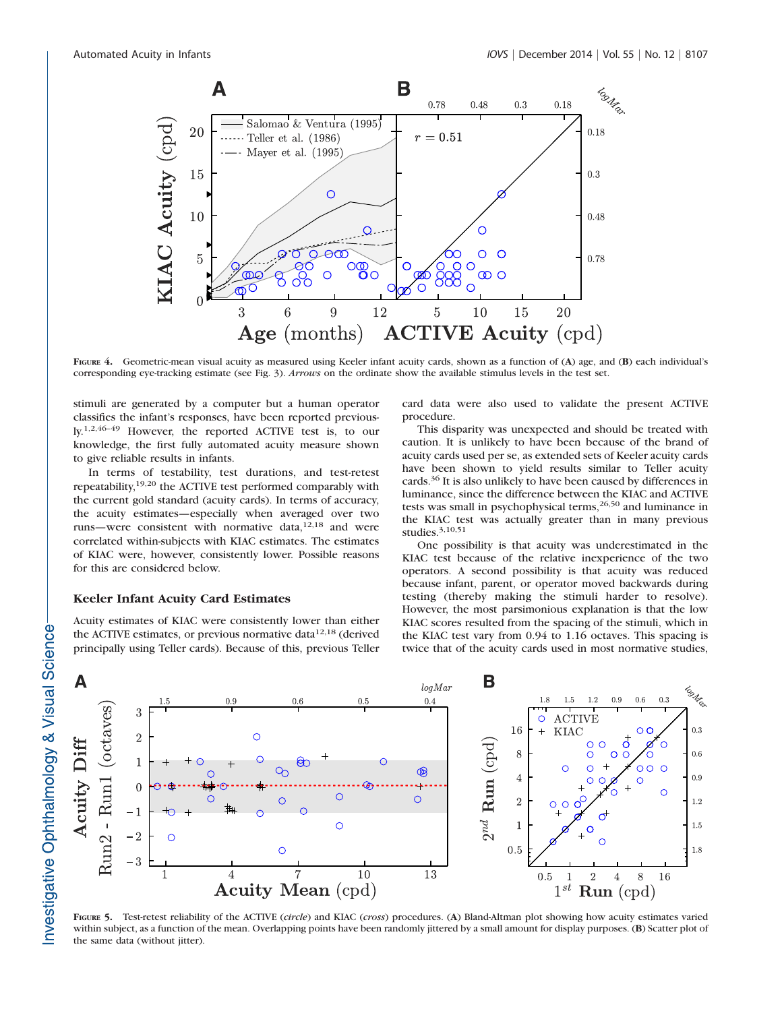

FIGURE 4. Geometric-mean visual acuity as measured using Keeler infant acuity cards, shown as a function of (A) age, and (B) each individual's corresponding eye-tracking estimate (see Fig. 3). Arrows on the ordinate show the available stimulus levels in the test set.

stimuli are generated by a computer but a human operator classifies the infant's responses, have been reported previously.1,2,46–49 However, the reported ACTIVE test is, to our knowledge, the first fully automated acuity measure shown to give reliable results in infants.

In terms of testability, test durations, and test-retest repeatability,19,20 the ACTIVE test performed comparably with the current gold standard (acuity cards). In terms of accuracy, the acuity estimates—especially when averaged over two runs—were consistent with normative data,<sup>12,18</sup> and were correlated within-subjects with KIAC estimates. The estimates of KIAC were, however, consistently lower. Possible reasons for this are considered below.

# Keeler Infant Acuity Card Estimates

Acuity estimates of KIAC were consistently lower than either the ACTIVE estimates, or previous normative data $12,18$  (derived principally using Teller cards). Because of this, previous Teller card data were also used to validate the present ACTIVE procedure.

This disparity was unexpected and should be treated with caution. It is unlikely to have been because of the brand of acuity cards used per se, as extended sets of Keeler acuity cards have been shown to yield results similar to Teller acuity cards.<sup>36</sup> It is also unlikely to have been caused by differences in luminance, since the difference between the KIAC and ACTIVE tests was small in psychophysical terms,<sup>26,50</sup> and luminance in the KIAC test was actually greater than in many previous studies.3,10,51

One possibility is that acuity was underestimated in the KIAC test because of the relative inexperience of the two operators. A second possibility is that acuity was reduced because infant, parent, or operator moved backwards during testing (thereby making the stimuli harder to resolve). However, the most parsimonious explanation is that the low KIAC scores resulted from the spacing of the stimuli, which in the KIAC test vary from 0.94 to 1.16 octaves. This spacing is twice that of the acuity cards used in most normative studies,



FIGURE 5. Test-retest reliability of the ACTIVE (circle) and KIAC (cross) procedures. (A) Bland-Altman plot showing how acuity estimates varied within subject, as a function of the mean. Overlapping points have been randomly jittered by a small amount for display purposes. (B) Scatter plot of the same data (without jitter).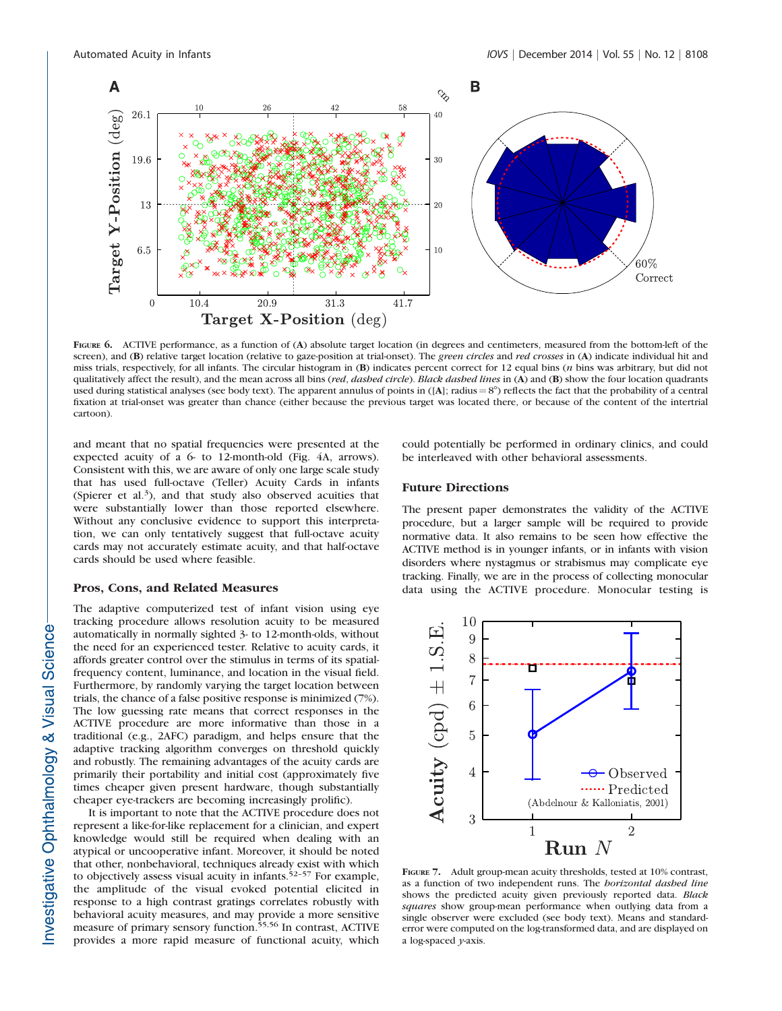

FIGURE 6. ACTIVE performance, as a function of (A) absolute target location (in degrees and centimeters, measured from the bottom-left of the screen), and (B) relative target location (relative to gaze-position at trial-onset). The green circles and red crosses in (A) indicate individual hit and miss trials, respectively, for all infants. The circular histogram in (B) indicates percent correct for 12 equal bins (n bins was arbitrary, but did not qualitatively affect the result), and the mean across all bins (red, dashed circle). Black dashed lines in (A) and (B) show the four location quadrants used during statistical analyses (see body text). The apparent annulus of points in  $([A];$  radius  $= 8^{\circ})$  reflects the fact that the probability of a central fixation at trial-onset was greater than chance (either because the previous target was located there, or because of the content of the intertrial cartoon).

and meant that no spatial frequencies were presented at the expected acuity of a 6- to 12-month-old (Fig. 4A, arrows). Consistent with this, we are aware of only one large scale study that has used full-octave (Teller) Acuity Cards in infants (Spierer et al.<sup>3</sup>), and that study also observed acuities that were substantially lower than those reported elsewhere. Without any conclusive evidence to support this interpretation, we can only tentatively suggest that full-octave acuity cards may not accurately estimate acuity, and that half-octave cards should be used where feasible.

# Pros, Cons, and Related Measures

The adaptive computerized test of infant vision using eye tracking procedure allows resolution acuity to be measured automatically in normally sighted 3- to 12-month-olds, without the need for an experienced tester. Relative to acuity cards, it affords greater control over the stimulus in terms of its spatialfrequency content, luminance, and location in the visual field. Furthermore, by randomly varying the target location between trials, the chance of a false positive response is minimized (7%). The low guessing rate means that correct responses in the ACTIVE procedure are more informative than those in a traditional (e.g., 2AFC) paradigm, and helps ensure that the adaptive tracking algorithm converges on threshold quickly and robustly. The remaining advantages of the acuity cards are primarily their portability and initial cost (approximately five times cheaper given present hardware, though substantially cheaper eye-trackers are becoming increasingly prolific).

It is important to note that the ACTIVE procedure does not represent a like-for-like replacement for a clinician, and expert knowledge would still be required when dealing with an atypical or uncooperative infant. Moreover, it should be noted that other, nonbehavioral, techniques already exist with which to objectively assess visual acuity in infants. $52-57$  For example, the amplitude of the visual evoked potential elicited in response to a high contrast gratings correlates robustly with behavioral acuity measures, and may provide a more sensitive measure of primary sensory function.55,56 In contrast, ACTIVE provides a more rapid measure of functional acuity, which

could potentially be performed in ordinary clinics, and could be interleaved with other behavioral assessments.

## Future Directions

The present paper demonstrates the validity of the ACTIVE procedure, but a larger sample will be required to provide normative data. It also remains to be seen how effective the ACTIVE method is in younger infants, or in infants with vision disorders where nystagmus or strabismus may complicate eye tracking. Finally, we are in the process of collecting monocular data using the ACTIVE procedure. Monocular testing is



FIGURE 7. Adult group-mean acuity thresholds, tested at 10% contrast, as a function of two independent runs. The horizontal dashed line shows the predicted acuity given previously reported data. Black squares show group-mean performance when outlying data from a single observer were excluded (see body text). Means and standarderror were computed on the log-transformed data, and are displayed on a log-spaced y-axis.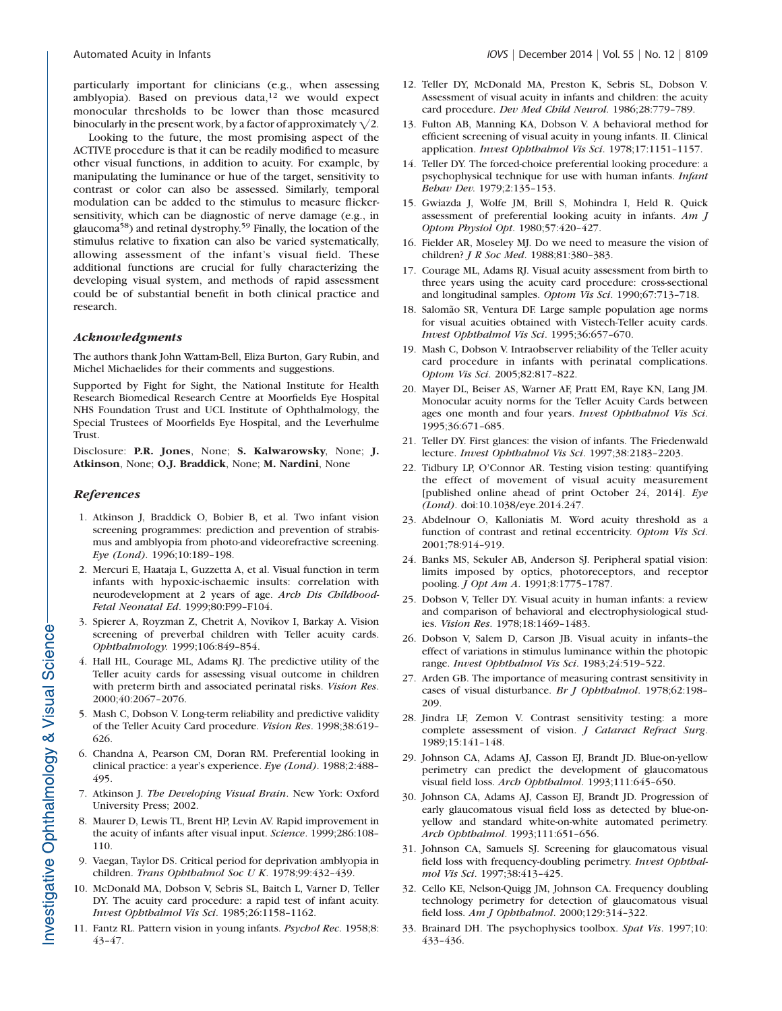particularly important for clinicians (e.g., when assessing amblyopia). Based on previous data, $12$  we would expect monocular thresholds to be lower than those measured binocularly in the present work, by a factor of approximately  $\sqrt{2}$ .

Looking to the future, the most promising aspect of the ACTIVE procedure is that it can be readily modified to measure other visual functions, in addition to acuity. For example, by manipulating the luminance or hue of the target, sensitivity to contrast or color can also be assessed. Similarly, temporal modulation can be added to the stimulus to measure flickersensitivity, which can be diagnostic of nerve damage (e.g., in glaucoma58) and retinal dystrophy.59 Finally, the location of the stimulus relative to fixation can also be varied systematically, allowing assessment of the infant's visual field. These additional functions are crucial for fully characterizing the developing visual system, and methods of rapid assessment could be of substantial benefit in both clinical practice and research.

# Acknowledgments

The authors thank John Wattam-Bell, Eliza Burton, Gary Rubin, and Michel Michaelides for their comments and suggestions.

Supported by Fight for Sight, the National Institute for Health Research Biomedical Research Centre at Moorfields Eye Hospital NHS Foundation Trust and UCL Institute of Ophthalmology, the Special Trustees of Moorfields Eye Hospital, and the Leverhulme Trust.

Disclosure: P.R. Jones, None; S. Kalwarowsky, None; J. Atkinson, None; O.J. Braddick, None; M. Nardini, None

# References

- 1. Atkinson J, Braddick O, Bobier B, et al. Two infant vision screening programmes: prediction and prevention of strabismus and amblyopia from photo-and videorefractive screening. Eye (Lond). 1996;10:189–198.
- 2. Mercuri E, Haataja L, Guzzetta A, et al. Visual function in term infants with hypoxic-ischaemic insults: correlation with neurodevelopment at 2 years of age. Arch Dis Childhood-Fetal Neonatal Ed. 1999;80:F99–F104.
- 3. Spierer A, Royzman Z, Chetrit A, Novikov I, Barkay A. Vision screening of preverbal children with Teller acuity cards. Ophthalmology. 1999;106:849–854.
- 4. Hall HL, Courage ML, Adams RJ. The predictive utility of the Teller acuity cards for assessing visual outcome in children with preterm birth and associated perinatal risks. Vision Res. 2000;40:2067–2076.
- 5. Mash C, Dobson V. Long-term reliability and predictive validity of the Teller Acuity Card procedure. Vision Res. 1998;38:619– 626.
- 6. Chandna A, Pearson CM, Doran RM. Preferential looking in clinical practice: a year's experience. Eye (Lond). 1988;2:488– 495.
- 7. Atkinson J. The Developing Visual Brain. New York: Oxford University Press; 2002.
- 8. Maurer D, Lewis TL, Brent HP, Levin AV. Rapid improvement in the acuity of infants after visual input. Science. 1999;286:108– 110.
- 9. Vaegan, Taylor DS. Critical period for deprivation amblyopia in children. Trans Ophthalmol Soc U K. 1978;99:432–439.
- 10. McDonald MA, Dobson V, Sebris SL, Baitch L, Varner D, Teller DY. The acuity card procedure: a rapid test of infant acuity. Invest Ophthalmol Vis Sci. 1985;26:1158–1162.
- 11. Fantz RL. Pattern vision in young infants. Psychol Rec. 1958;8: 43–47.
- 12. Teller DY, McDonald MA, Preston K, Sebris SL, Dobson V. Assessment of visual acuity in infants and children: the acuity card procedure. Dev Med Child Neurol. 1986;28:779–789.
- 13. Fulton AB, Manning KA, Dobson V. A behavioral method for efficient screening of visual acuity in young infants. II. Clinical application. Invest Ophthalmol Vis Sci. 1978;17:1151–1157.
- 14. Teller DY. The forced-choice preferential looking procedure: a psychophysical technique for use with human infants. Infant Behav Dev. 1979;2:135–153.
- 15. Gwiazda J, Wolfe JM, Brill S, Mohindra I, Held R. Quick assessment of preferential looking acuity in infants. Am J Optom Physiol Opt. 1980;57:420–427.
- 16. Fielder AR, Moseley MJ. Do we need to measure the vision of children? J R Soc Med. 1988;81:380–383.
- 17. Courage ML, Adams RJ. Visual acuity assessment from birth to three years using the acuity card procedure: cross-sectional and longitudinal samples. Optom Vis Sci. 1990;67:713–718.
- 18. Salomão SR, Ventura DF. Large sample population age norms for visual acuities obtained with Vistech-Teller acuity cards. Invest Ophthalmol Vis Sci. 1995;36:657–670.
- 19. Mash C, Dobson V. Intraobserver reliability of the Teller acuity card procedure in infants with perinatal complications. Optom Vis Sci. 2005;82:817–822.
- 20. Mayer DL, Beiser AS, Warner AF, Pratt EM, Raye KN, Lang JM. Monocular acuity norms for the Teller Acuity Cards between ages one month and four years. Invest Ophthalmol Vis Sci. 1995;36:671–685.
- 21. Teller DY. First glances: the vision of infants. The Friedenwald lecture. Invest Ophthalmol Vis Sci. 1997;38:2183–2203.
- 22. Tidbury LP, O'Connor AR. Testing vision testing: quantifying the effect of movement of visual acuity measurement [published online ahead of print October 24, 2014]. Eye (Lond). doi:10.1038/eye.2014.247.
- 23. Abdelnour O, Kalloniatis M. Word acuity threshold as a function of contrast and retinal eccentricity. Optom Vis Sci. 2001;78:914–919.
- 24. Banks MS, Sekuler AB, Anderson SJ. Peripheral spatial vision: limits imposed by optics, photoreceptors, and receptor pooling. J Opt Am A. 1991;8:1775–1787.
- 25. Dobson V, Teller DY. Visual acuity in human infants: a review and comparison of behavioral and electrophysiological studies. Vision Res. 1978;18:1469–1483.
- 26. Dobson V, Salem D, Carson JB. Visual acuity in infants–the effect of variations in stimulus luminance within the photopic range. Invest Ophthalmol Vis Sci. 1983;24:519–522.
- 27. Arden GB. The importance of measuring contrast sensitivity in cases of visual disturbance. Br J Ophthalmol. 1978;62:198– 209.
- 28. Jindra LF, Zemon V. Contrast sensitivity testing: a more complete assessment of vision. J Cataract Refract Surg. 1989;15:141–148.
- 29. Johnson CA, Adams AJ, Casson EJ, Brandt JD. Blue-on-yellow perimetry can predict the development of glaucomatous visual field loss. Arch Ophthalmol. 1993;111:645–650.
- 30. Johnson CA, Adams AJ, Casson EJ, Brandt JD. Progression of early glaucomatous visual field loss as detected by blue-onyellow and standard white-on-white automated perimetry. Arch Ophthalmol. 1993;111:651–656.
- 31. Johnson CA, Samuels SJ. Screening for glaucomatous visual field loss with frequency-doubling perimetry. Invest Ophthalmol Vis Sci. 1997;38:413–425.
- 32. Cello KE, Nelson-Quigg JM, Johnson CA. Frequency doubling technology perimetry for detection of glaucomatous visual field loss. Am J Ophthalmol. 2000;129:314–322.
- 33. Brainard DH. The psychophysics toolbox. Spat Vis. 1997;10: 433–436.